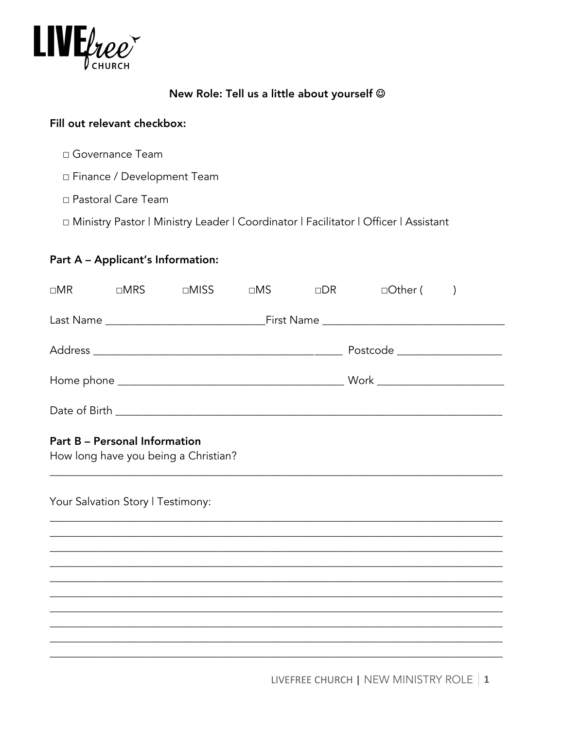

## New Role: Tell us a little about yourself @

## Fill out relevant checkbox:

- □ Governance Team
- □ Finance / Development Team
- □ Pastoral Care Team
- □ Ministry Pastor | Ministry Leader | Coordinator | Facilitator | Officer | Assistant

# Part A - Applicant's Information:

| $\square MR$                  | $\Box$ MRS | $\Box$ MISS | $\Box MS$ | $\Box$ DR | □Other (                                   |  |
|-------------------------------|------------|-------------|-----------|-----------|--------------------------------------------|--|
|                               |            |             |           |           | First Name _______________________________ |  |
| Postcode ____________________ |            |             |           |           |                                            |  |
|                               |            |             |           |           | Work ____________________________          |  |
| Date of Birth _               |            |             |           |           |                                            |  |

#### **Part B - Personal Information**

How long have you being a Christian?

Your Salvation Story | Testimony: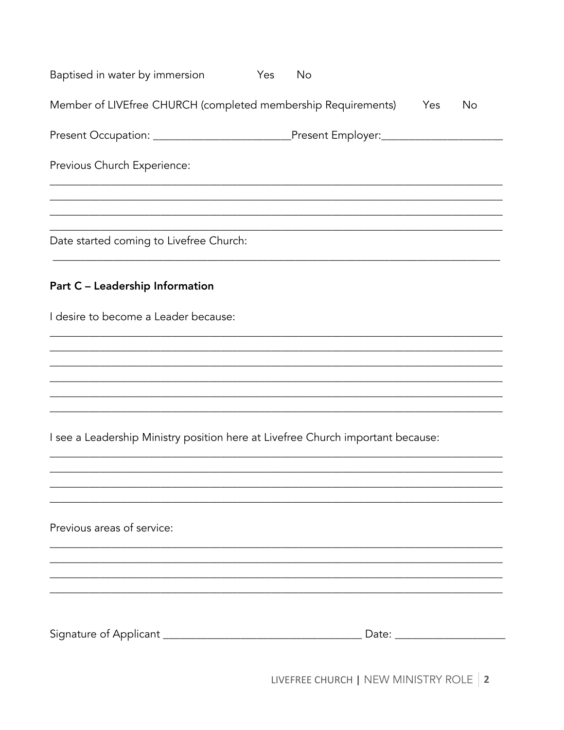| Baptised in water by immersion                                                           | Yes | <b>No</b> |     |                                |
|------------------------------------------------------------------------------------------|-----|-----------|-----|--------------------------------|
| Member of LIVEfree CHURCH (completed membership Requirements)                            |     |           | Yes | <b>No</b>                      |
| Present Occupation: ________________________________Present Employer:___________________ |     |           |     |                                |
| Previous Church Experience:                                                              |     |           |     |                                |
| Date started coming to Livefree Church:                                                  |     |           |     |                                |
| Part C - Leadership Information                                                          |     |           |     |                                |
| I desire to become a Leader because:                                                     |     |           |     |                                |
|                                                                                          |     |           |     |                                |
|                                                                                          |     |           |     |                                |
| I see a Leadership Ministry position here at Livefree Church important because:          |     |           |     |                                |
|                                                                                          |     |           |     |                                |
| Previous areas of service:                                                               |     |           |     |                                |
|                                                                                          |     |           |     |                                |
|                                                                                          |     |           |     |                                |
|                                                                                          |     |           |     | Date: ________________________ |

LIVEFREE CHURCH | NEW MINISTRY ROLE | 2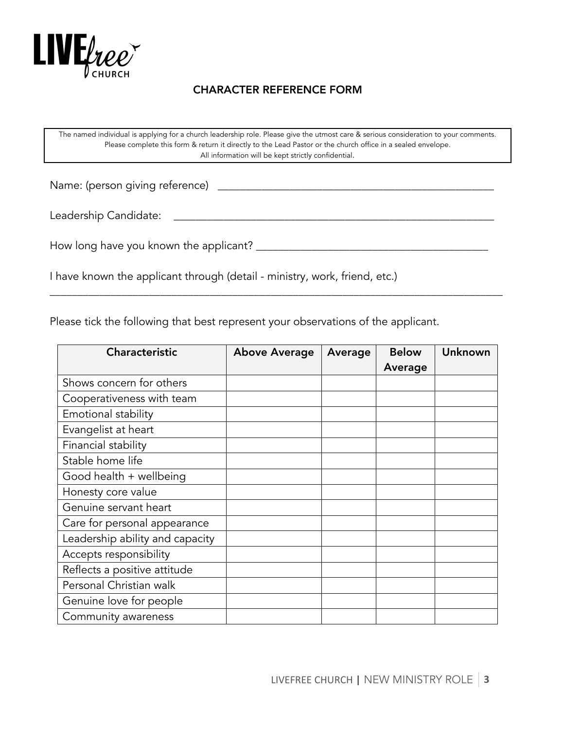

## CHARACTER REFERENCE FORM

The named individual is applying for a church leadership role. Please give the utmost care & serious consideration to your comments. Please complete this form & return it directly to the Lead Pastor or the church office in a sealed envelope. All information will be kept strictly confidential.

\_\_\_\_\_\_\_\_\_\_\_\_\_\_\_\_\_\_\_\_\_\_\_\_\_\_\_\_\_\_\_\_\_\_\_\_\_\_\_\_\_\_\_\_\_\_\_\_\_\_\_\_\_\_\_\_\_\_\_\_\_\_\_\_\_\_\_\_\_\_\_\_\_\_\_\_\_\_\_\_\_\_

Name: (person giving reference) \_\_\_\_\_\_\_\_\_\_\_\_\_\_\_\_\_\_\_\_\_\_\_\_\_\_\_\_\_\_\_\_\_\_\_\_\_\_\_\_\_\_\_\_\_\_\_\_\_\_

Leadership Candidate: \_\_\_\_\_\_\_\_\_\_\_\_\_\_\_\_\_\_\_\_\_\_\_\_\_\_\_\_\_\_\_\_\_\_\_\_\_\_\_\_\_\_\_\_\_\_\_\_\_\_\_\_\_\_\_\_\_\_

How long have you known the applicant? \_\_\_\_\_\_\_\_\_\_\_\_\_\_\_\_\_\_\_\_\_\_\_\_\_\_\_\_\_\_\_\_\_\_\_\_\_\_\_\_\_\_

I have known the applicant through (detail - ministry, work, friend, etc.)

Please tick the following that best represent your observations of the applicant.

| <b>Characteristic</b>           | <b>Above Average</b> | Average | <b>Below</b><br>Average | Unknown |
|---------------------------------|----------------------|---------|-------------------------|---------|
| Shows concern for others        |                      |         |                         |         |
| Cooperativeness with team       |                      |         |                         |         |
| Emotional stability             |                      |         |                         |         |
| Evangelist at heart             |                      |         |                         |         |
| Financial stability             |                      |         |                         |         |
| Stable home life                |                      |         |                         |         |
| Good health + wellbeing         |                      |         |                         |         |
| Honesty core value              |                      |         |                         |         |
| Genuine servant heart           |                      |         |                         |         |
| Care for personal appearance    |                      |         |                         |         |
| Leadership ability and capacity |                      |         |                         |         |
| Accepts responsibility          |                      |         |                         |         |
| Reflects a positive attitude    |                      |         |                         |         |
| Personal Christian walk         |                      |         |                         |         |
| Genuine love for people         |                      |         |                         |         |
| Community awareness             |                      |         |                         |         |